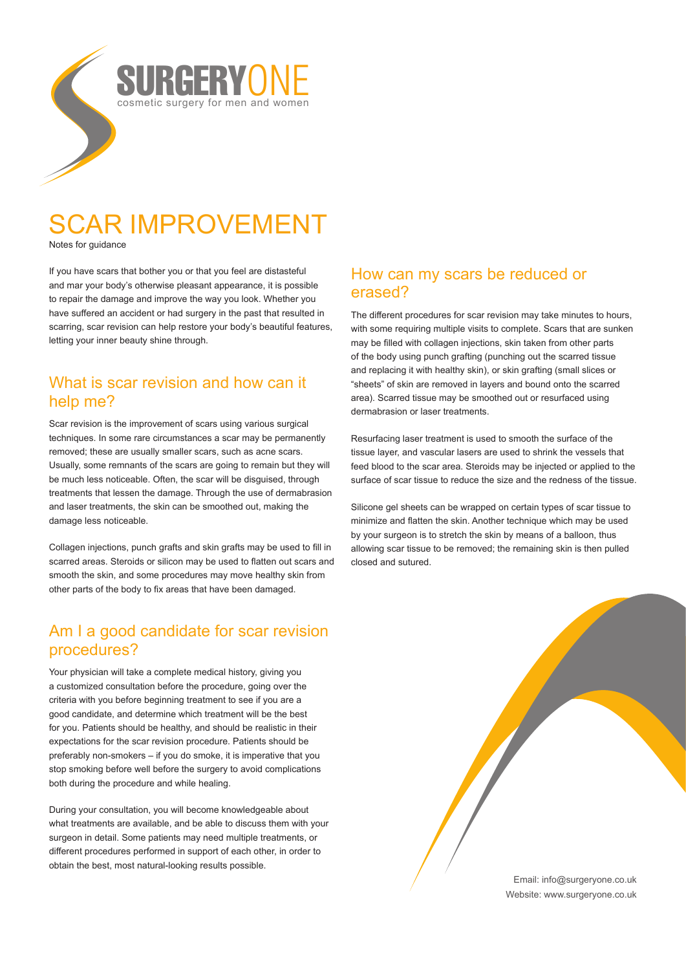

# SCAR IMPROVEMENT

Notes for guidance

If you have scars that bother you or that you feel are distasteful and mar your body's otherwise pleasant appearance, it is possible to repair the damage and improve the way you look. Whether you have suffered an accident or had surgery in the past that resulted in scarring, scar revision can help restore your body's beautiful features, letting your inner beauty shine through.

## What is scar revision and how can it help me?

Scar revision is the improvement of scars using various surgical techniques. In some rare circumstances a scar may be permanently removed; these are usually smaller scars, such as acne scars. Usually, some remnants of the scars are going to remain but they will be much less noticeable. Often, the scar will be disguised, through treatments that lessen the damage. Through the use of dermabrasion and laser treatments, the skin can be smoothed out, making the damage less noticeable.

Collagen injections, punch grafts and skin grafts may be used to fill in scarred areas. Steroids or silicon may be used to flatten out scars and smooth the skin, and some procedures may move healthy skin from other parts of the body to fix areas that have been damaged.

# Am I a good candidate for scar revision procedures?

Your physician will take a complete medical history, giving you a customized consultation before the procedure, going over the criteria with you before beginning treatment to see if you are a good candidate, and determine which treatment will be the best for you. Patients should be healthy, and should be realistic in their expectations for the scar revision procedure. Patients should be preferably non-smokers – if you do smoke, it is imperative that you stop smoking before well before the surgery to avoid complications both during the procedure and while healing.

During your consultation, you will become knowledgeable about what treatments are available, and be able to discuss them with your surgeon in detail. Some patients may need multiple treatments, or different procedures performed in support of each other, in order to obtain the best, most natural-looking results possible.

### How can my scars be reduced or erased?

The different procedures for scar revision may take minutes to hours, with some requiring multiple visits to complete. Scars that are sunken may be filled with collagen injections, skin taken from other parts of the body using punch grafting (punching out the scarred tissue and replacing it with healthy skin), or skin grafting (small slices or "sheets" of skin are removed in layers and bound onto the scarred area). Scarred tissue may be smoothed out or resurfaced using dermabrasion or laser treatments.

Resurfacing laser treatment is used to smooth the surface of the tissue layer, and vascular lasers are used to shrink the vessels that feed blood to the scar area. Steroids may be injected or applied to the surface of scar tissue to reduce the size and the redness of the tissue.

Silicone gel sheets can be wrapped on certain types of scar tissue to minimize and flatten the skin. Another technique which may be used by your surgeon is to stretch the skin by means of a balloon, thus allowing scar tissue to be removed; the remaining skin is then pulled closed and sutured.

> Email: info@surgeryone.co.uk Website: www.surgeryone.co.uk